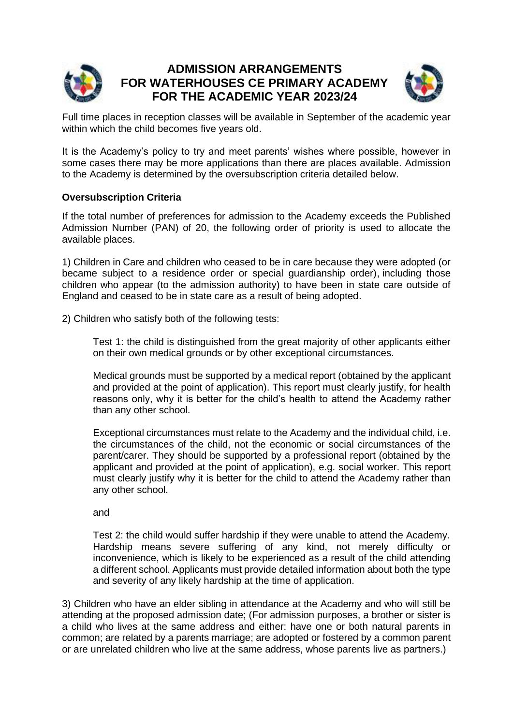

# **ADMISSION ARRANGEMENTS FOR WATERHOUSES CE PRIMARY ACADEMY FOR THE ACADEMIC YEAR 2023/24**



Full time places in reception classes will be available in September of the academic year within which the child becomes five years old.

It is the Academy's policy to try and meet parents' wishes where possible, however in some cases there may be more applications than there are places available. Admission to the Academy is determined by the oversubscription criteria detailed below.

## **Oversubscription Criteria**

If the total number of preferences for admission to the Academy exceeds the Published Admission Number (PAN) of 20, the following order of priority is used to allocate the available places.

1) Children in Care and children who ceased to be in care because they were adopted (or became subject to a residence order or special guardianship order), including those children who appear (to the admission authority) to have been in state care outside of England and ceased to be in state care as a result of being adopted.

2) Children who satisfy both of the following tests:

Test 1: the child is distinguished from the great majority of other applicants either on their own medical grounds or by other exceptional circumstances.

Medical grounds must be supported by a medical report (obtained by the applicant and provided at the point of application). This report must clearly justify, for health reasons only, why it is better for the child's health to attend the Academy rather than any other school.

Exceptional circumstances must relate to the Academy and the individual child, i.e. the circumstances of the child, not the economic or social circumstances of the parent/carer. They should be supported by a professional report (obtained by the applicant and provided at the point of application), e.g. social worker. This report must clearly justify why it is better for the child to attend the Academy rather than any other school.

and

Test 2: the child would suffer hardship if they were unable to attend the Academy. Hardship means severe suffering of any kind, not merely difficulty or inconvenience, which is likely to be experienced as a result of the child attending a different school. Applicants must provide detailed information about both the type and severity of any likely hardship at the time of application.

3) Children who have an elder sibling in attendance at the Academy and who will still be attending at the proposed admission date; (For admission purposes, a brother or sister is a child who lives at the same address and either: have one or both natural parents in common; are related by a parents marriage; are adopted or fostered by a common parent or are unrelated children who live at the same address, whose parents live as partners.)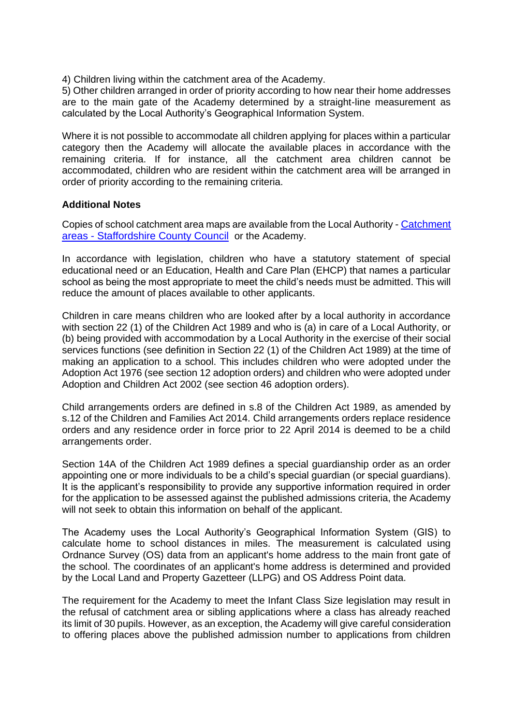4) Children living within the catchment area of the Academy.

5) Other children arranged in order of priority according to how near their home addresses are to the main gate of the Academy determined by a straight-line measurement as calculated by the Local Authority's Geographical Information System.

Where it is not possible to accommodate all children applying for places within a particular category then the Academy will allocate the available places in accordance with the remaining criteria. If for instance, all the catchment area children cannot be accommodated, children who are resident within the catchment area will be arranged in order of priority according to the remaining criteria.

#### **Additional Notes**

Copies of school catchment area maps are available from the Local Authority - [Catchment](https://www.staffordshire.gov.uk/Education/Admissions-primary/Catchment-areas.aspx)  areas - [Staffordshire County Council](https://www.staffordshire.gov.uk/Education/Admissions-primary/Catchment-areas.aspx) or the Academy.

In accordance with legislation, children who have a statutory statement of special educational need or an Education, Health and Care Plan (EHCP) that names a particular school as being the most appropriate to meet the child's needs must be admitted. This will reduce the amount of places available to other applicants.

Children in care means children who are looked after by a local authority in accordance with section 22 (1) of the Children Act 1989 and who is (a) in care of a Local Authority, or (b) being provided with accommodation by a Local Authority in the exercise of their social services functions (see definition in Section 22 (1) of the Children Act 1989) at the time of making an application to a school. This includes children who were adopted under the Adoption Act 1976 (see section 12 adoption orders) and children who were adopted under Adoption and Children Act 2002 (see section 46 adoption orders).

Child arrangements orders are defined in s.8 of the Children Act 1989, as amended by s.12 of the Children and Families Act 2014. Child arrangements orders replace residence orders and any residence order in force prior to 22 April 2014 is deemed to be a child arrangements order.

Section 14A of the Children Act 1989 defines a special guardianship order as an order appointing one or more individuals to be a child's special guardian (or special guardians). It is the applicant's responsibility to provide any supportive information required in order for the application to be assessed against the published admissions criteria, the Academy will not seek to obtain this information on behalf of the applicant.

The Academy uses the Local Authority's Geographical Information System (GIS) to calculate home to school distances in miles. The measurement is calculated using Ordnance Survey (OS) data from an applicant's home address to the main front gate of the school. The coordinates of an applicant's home address is determined and provided by the Local Land and Property Gazetteer (LLPG) and OS Address Point data.

The requirement for the Academy to meet the Infant Class Size legislation may result in the refusal of catchment area or sibling applications where a class has already reached its limit of 30 pupils. However, as an exception, the Academy will give careful consideration to offering places above the published admission number to applications from children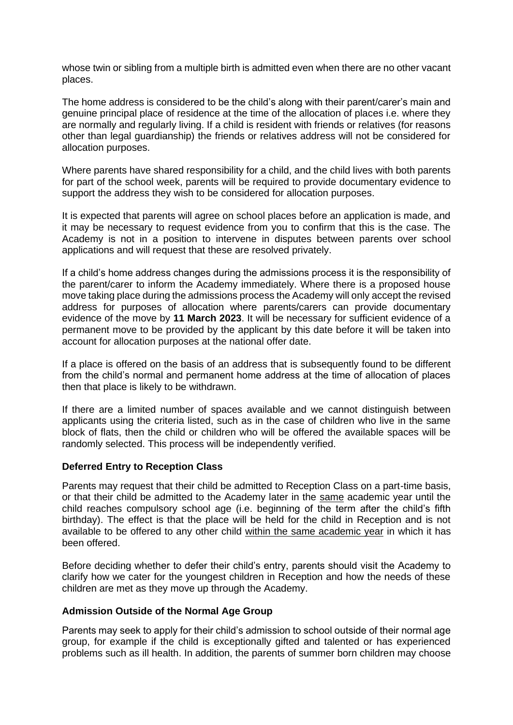whose twin or sibling from a multiple birth is admitted even when there are no other vacant places.

The home address is considered to be the child's along with their parent/carer's main and genuine principal place of residence at the time of the allocation of places i.e. where they are normally and regularly living. If a child is resident with friends or relatives (for reasons other than legal guardianship) the friends or relatives address will not be considered for allocation purposes.

Where parents have shared responsibility for a child, and the child lives with both parents for part of the school week, parents will be required to provide documentary evidence to support the address they wish to be considered for allocation purposes.

It is expected that parents will agree on school places before an application is made, and it may be necessary to request evidence from you to confirm that this is the case. The Academy is not in a position to intervene in disputes between parents over school applications and will request that these are resolved privately.

If a child's home address changes during the admissions process it is the responsibility of the parent/carer to inform the Academy immediately. Where there is a proposed house move taking place during the admissions process the Academy will only accept the revised address for purposes of allocation where parents/carers can provide documentary evidence of the move by **11 March 2023**. It will be necessary for sufficient evidence of a permanent move to be provided by the applicant by this date before it will be taken into account for allocation purposes at the national offer date.

If a place is offered on the basis of an address that is subsequently found to be different from the child's normal and permanent home address at the time of allocation of places then that place is likely to be withdrawn.

If there are a limited number of spaces available and we cannot distinguish between applicants using the criteria listed, such as in the case of children who live in the same block of flats, then the child or children who will be offered the available spaces will be randomly selected. This process will be independently verified.

#### **Deferred Entry to Reception Class**

Parents may request that their child be admitted to Reception Class on a part-time basis, or that their child be admitted to the Academy later in the same academic year until the child reaches compulsory school age (i.e. beginning of the  $\overline{\text{term}}$  after the child's fifth birthday). The effect is that the place will be held for the child in Reception and is not available to be offered to any other child within the same academic year in which it has been offered.

Before deciding whether to defer their child's entry, parents should visit the Academy to clarify how we cater for the youngest children in Reception and how the needs of these children are met as they move up through the Academy.

#### **Admission Outside of the Normal Age Group**

Parents may seek to apply for their child's admission to school outside of their normal age group, for example if the child is exceptionally gifted and talented or has experienced problems such as ill health. In addition, the parents of summer born children may choose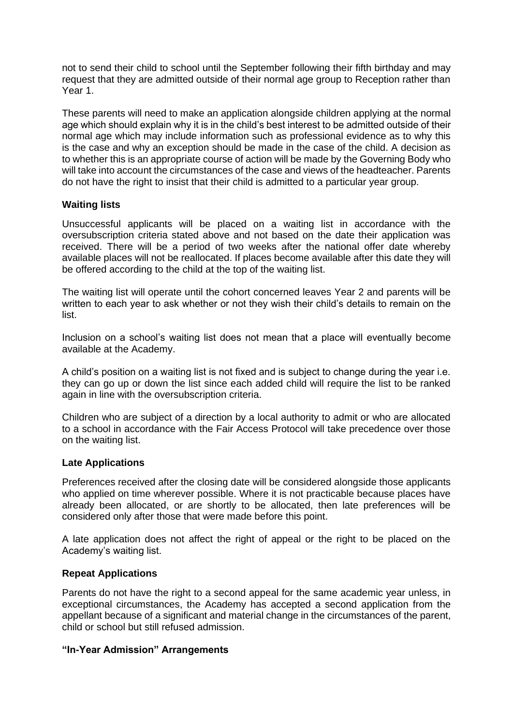not to send their child to school until the September following their fifth birthday and may request that they are admitted outside of their normal age group to Reception rather than Year 1.

These parents will need to make an application alongside children applying at the normal age which should explain why it is in the child's best interest to be admitted outside of their normal age which may include information such as professional evidence as to why this is the case and why an exception should be made in the case of the child. A decision as to whether this is an appropriate course of action will be made by the Governing Body who will take into account the circumstances of the case and views of the headteacher. Parents do not have the right to insist that their child is admitted to a particular year group.

### **Waiting lists**

Unsuccessful applicants will be placed on a waiting list in accordance with the oversubscription criteria stated above and not based on the date their application was received. There will be a period of two weeks after the national offer date whereby available places will not be reallocated. If places become available after this date they will be offered according to the child at the top of the waiting list.

The waiting list will operate until the cohort concerned leaves Year 2 and parents will be written to each year to ask whether or not they wish their child's details to remain on the list.

Inclusion on a school's waiting list does not mean that a place will eventually become available at the Academy.

A child's position on a waiting list is not fixed and is subject to change during the year i.e. they can go up or down the list since each added child will require the list to be ranked again in line with the oversubscription criteria.

Children who are subject of a direction by a local authority to admit or who are allocated to a school in accordance with the Fair Access Protocol will take precedence over those on the waiting list.

#### **Late Applications**

Preferences received after the closing date will be considered alongside those applicants who applied on time wherever possible. Where it is not practicable because places have already been allocated, or are shortly to be allocated, then late preferences will be considered only after those that were made before this point.

A late application does not affect the right of appeal or the right to be placed on the Academy's waiting list.

#### **Repeat Applications**

Parents do not have the right to a second appeal for the same academic year unless, in exceptional circumstances, the Academy has accepted a second application from the appellant because of a significant and material change in the circumstances of the parent, child or school but still refused admission.

#### **"In-Year Admission" Arrangements**